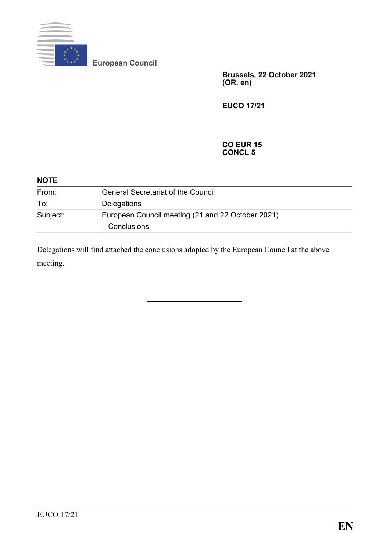

**European Council**

**Brussels, 22 October 2021 (OR. en)**

**EUCO 17/21**

#### **CO EUR 15 CONCL 5**

| <b>NOTE</b> |                                                                    |  |
|-------------|--------------------------------------------------------------------|--|
| From:       | <b>General Secretariat of the Council</b>                          |  |
| To:         | Delegations                                                        |  |
| Subject:    | European Council meeting (21 and 22 October 2021)<br>- Conclusions |  |

Delegations will find attached the conclusions adopted by the European Council at the above meeting.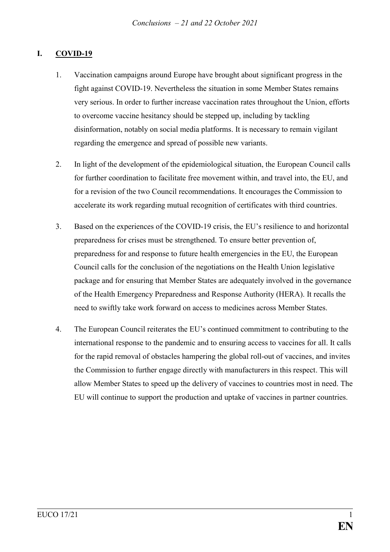#### **I. COVID-19**

- 1. Vaccination campaigns around Europe have brought about significant progress in the fight against COVID-19. Nevertheless the situation in some Member States remains very serious. In order to further increase vaccination rates throughout the Union, efforts to overcome vaccine hesitancy should be stepped up, including by tackling disinformation, notably on social media platforms. It is necessary to remain vigilant regarding the emergence and spread of possible new variants.
- 2. In light of the development of the epidemiological situation, the European Council calls for further coordination to facilitate free movement within, and travel into, the EU, and for a revision of the two Council recommendations. It encourages the Commission to accelerate its work regarding mutual recognition of certificates with third countries.
- 3. Based on the experiences of the COVID-19 crisis, the EU's resilience to and horizontal preparedness for crises must be strengthened. To ensure better prevention of, preparedness for and response to future health emergencies in the EU, the European Council calls for the conclusion of the negotiations on the Health Union legislative package and for ensuring that Member States are adequately involved in the governance of the Health Emergency Preparedness and Response Authority (HERA). It recalls the need to swiftly take work forward on access to medicines across Member States.
- 4. The European Council reiterates the EU's continued commitment to contributing to the international response to the pandemic and to ensuring access to vaccines for all. It calls for the rapid removal of obstacles hampering the global roll-out of vaccines, and invites the Commission to further engage directly with manufacturers in this respect. This will allow Member States to speed up the delivery of vaccines to countries most in need. The EU will continue to support the production and uptake of vaccines in partner countries.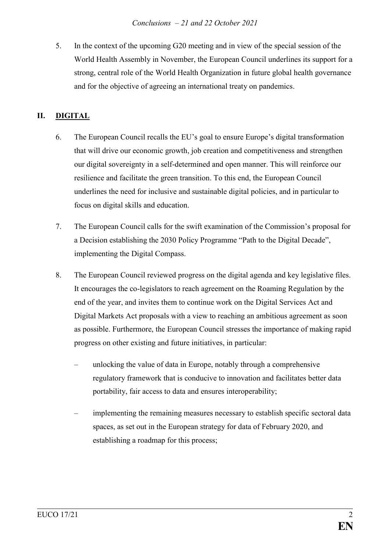5. In the context of the upcoming G20 meeting and in view of the special session of the World Health Assembly in November, the European Council underlines its support for a strong, central role of the World Health Organization in future global health governance and for the objective of agreeing an international treaty on pandemics.

# **II. DIGITAL**

- 6. The European Council recalls the EU's goal to ensure Europe's digital transformation that will drive our economic growth, job creation and competitiveness and strengthen our digital sovereignty in a self-determined and open manner. This will reinforce our resilience and facilitate the green transition. To this end, the European Council underlines the need for inclusive and sustainable digital policies, and in particular to focus on digital skills and education.
- 7. The European Council calls for the swift examination of the Commission's proposal for a Decision establishing the 2030 Policy Programme "Path to the Digital Decade", implementing the Digital Compass.
- 8. The European Council reviewed progress on the digital agenda and key legislative files. It encourages the co-legislators to reach agreement on the Roaming Regulation by the end of the year, and invites them to continue work on the Digital Services Act and Digital Markets Act proposals with a view to reaching an ambitious agreement as soon as possible. Furthermore, the European Council stresses the importance of making rapid progress on other existing and future initiatives, in particular:
	- unlocking the value of data in Europe, notably through a comprehensive regulatory framework that is conducive to innovation and facilitates better data portability, fair access to data and ensures interoperability;
	- implementing the remaining measures necessary to establish specific sectoral data spaces, as set out in the European strategy for data of February 2020, and establishing a roadmap for this process;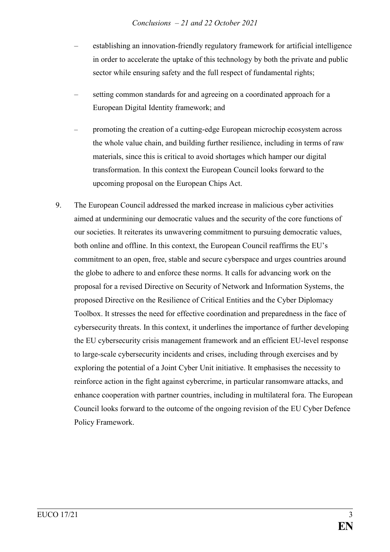- establishing an innovation-friendly regulatory framework for artificial intelligence in order to accelerate the uptake of this technology by both the private and public sector while ensuring safety and the full respect of fundamental rights;
- setting common standards for and agreeing on a coordinated approach for a European Digital Identity framework; and
- promoting the creation of a cutting-edge European microchip ecosystem across the whole value chain, and building further resilience, including in terms of raw materials, since this is critical to avoid shortages which hamper our digital transformation. In this context the European Council looks forward to the upcoming proposal on the European Chips Act.
- 9. The European Council addressed the marked increase in malicious cyber activities aimed at undermining our democratic values and the security of the core functions of our societies. It reiterates its unwavering commitment to pursuing democratic values, both online and offline. In this context, the European Council reaffirms the EU's commitment to an open, free, stable and secure cyberspace and urges countries around the globe to adhere to and enforce these norms. It calls for advancing work on the proposal for a revised Directive on Security of Network and Information Systems, the proposed Directive on the Resilience of Critical Entities and the Cyber Diplomacy Toolbox. It stresses the need for effective coordination and preparedness in the face of cybersecurity threats. In this context, it underlines the importance of further developing the EU cybersecurity crisis management framework and an efficient EU-level response to large-scale cybersecurity incidents and crises, including through exercises and by exploring the potential of a Joint Cyber Unit initiative. It emphasises the necessity to reinforce action in the fight against cybercrime, in particular ransomware attacks, and enhance cooperation with partner countries, including in multilateral fora. The European Council looks forward to the outcome of the ongoing revision of the EU Cyber Defence Policy Framework.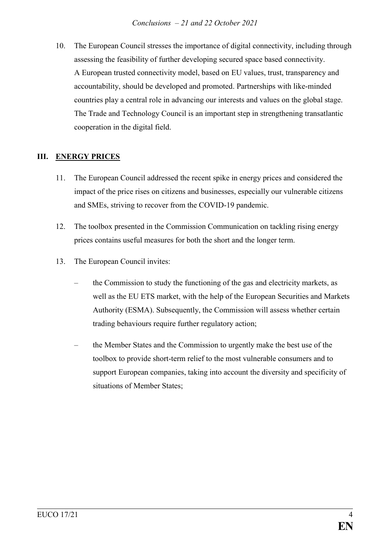10. The European Council stresses the importance of digital connectivity, including through assessing the feasibility of further developing secured space based connectivity. A European trusted connectivity model, based on EU values, trust, transparency and accountability, should be developed and promoted. Partnerships with like-minded countries play a central role in advancing our interests and values on the global stage. The Trade and Technology Council is an important step in strengthening transatlantic cooperation in the digital field.

### **III. ENERGY PRICES**

- 11. The European Council addressed the recent spike in energy prices and considered the impact of the price rises on citizens and businesses, especially our vulnerable citizens and SMEs, striving to recover from the COVID-19 pandemic.
- 12. The toolbox presented in the Commission Communication on tackling rising energy prices contains useful measures for both the short and the longer term.
- 13. The European Council invites:
	- the Commission to study the functioning of the gas and electricity markets, as well as the EU ETS market, with the help of the European Securities and Markets Authority (ESMA). Subsequently, the Commission will assess whether certain trading behaviours require further regulatory action;
	- the Member States and the Commission to urgently make the best use of the toolbox to provide short-term relief to the most vulnerable consumers and to support European companies, taking into account the diversity and specificity of situations of Member States;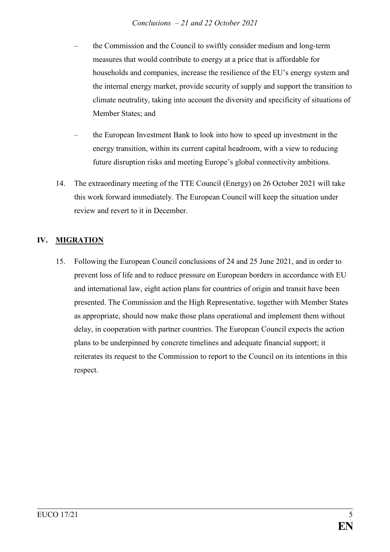- the Commission and the Council to swiftly consider medium and long-term measures that would contribute to energy at a price that is affordable for households and companies, increase the resilience of the EU's energy system and the internal energy market, provide security of supply and support the transition to climate neutrality, taking into account the diversity and specificity of situations of Member States; and
- the European Investment Bank to look into how to speed up investment in the energy transition, within its current capital headroom, with a view to reducing future disruption risks and meeting Europe's global connectivity ambitions.
- 14. The extraordinary meeting of the TTE Council (Energy) on 26 October 2021 will take this work forward immediately. The European Council will keep the situation under review and revert to it in December.

# **IV. MIGRATION**

15. Following the European Council conclusions of 24 and 25 June 2021, and in order to prevent loss of life and to reduce pressure on European borders in accordance with EU and international law, eight action plans for countries of origin and transit have been presented. The Commission and the High Representative, together with Member States as appropriate, should now make those plans operational and implement them without delay, in cooperation with partner countries. The European Council expects the action plans to be underpinned by concrete timelines and adequate financial support; it reiterates its request to the Commission to report to the Council on its intentions in this respect.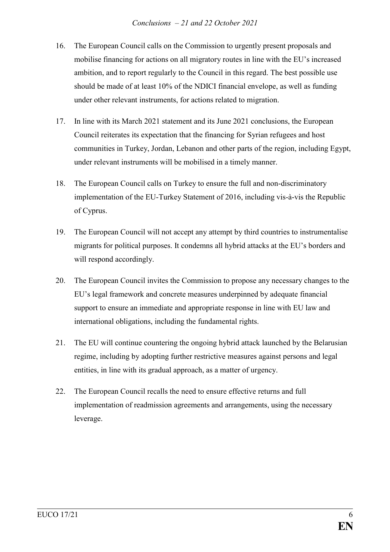- 16. The European Council calls on the Commission to urgently present proposals and mobilise financing for actions on all migratory routes in line with the EU's increased ambition, and to report regularly to the Council in this regard. The best possible use should be made of at least 10% of the NDICI financial envelope, as well as funding under other relevant instruments, for actions related to migration.
- 17. In line with its March 2021 statement and its June 2021 conclusions, the European Council reiterates its expectation that the financing for Syrian refugees and host communities in Turkey, Jordan, Lebanon and other parts of the region, including Egypt, under relevant instruments will be mobilised in a timely manner.
- 18. The European Council calls on Turkey to ensure the full and non-discriminatory implementation of the EU-Turkey Statement of 2016, including vis-à-vis the Republic of Cyprus.
- 19. The European Council will not accept any attempt by third countries to instrumentalise migrants for political purposes. It condemns all hybrid attacks at the EU's borders and will respond accordingly.
- 20. The European Council invites the Commission to propose any necessary changes to the EU's legal framework and concrete measures underpinned by adequate financial support to ensure an immediate and appropriate response in line with EU law and international obligations, including the fundamental rights.
- 21. The EU will continue countering the ongoing hybrid attack launched by the Belarusian regime, including by adopting further restrictive measures against persons and legal entities, in line with its gradual approach, as a matter of urgency.
- 22. The European Council recalls the need to ensure effective returns and full implementation of readmission agreements and arrangements, using the necessary leverage.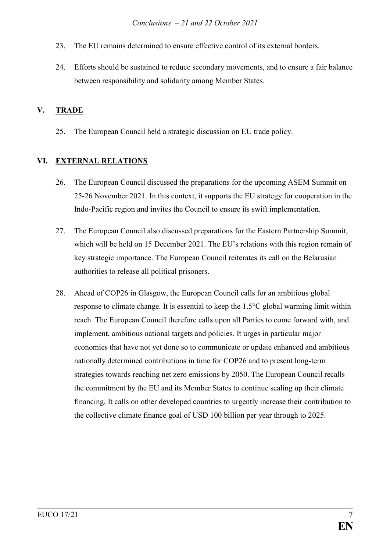- 23. The EU remains determined to ensure effective control of its external borders.
- 24. Efforts should be sustained to reduce secondary movements, and to ensure a fair balance between responsibility and solidarity among Member States.

### **V. TRADE**

25. The European Council held a strategic discussion on EU trade policy.

# **VI. EXTERNAL RELATIONS**

- 26. The European Council discussed the preparations for the upcoming ASEM Summit on 25-26 November 2021. In this context, it supports the EU strategy for cooperation in the Indo-Pacific region and invites the Council to ensure its swift implementation.
- 27. The European Council also discussed preparations for the Eastern Partnership Summit, which will be held on 15 December 2021. The EU's relations with this region remain of key strategic importance. The European Council reiterates its call on the Belarusian authorities to release all political prisoners.
- 28. Ahead of COP26 in Glasgow, the European Council calls for an ambitious global response to climate change. It is essential to keep the 1.5°C global warming limit within reach. The European Council therefore calls upon all Parties to come forward with, and implement, ambitious national targets and policies. It urges in particular major economies that have not yet done so to communicate or update enhanced and ambitious nationally determined contributions in time for COP26 and to present long-term strategies towards reaching net zero emissions by 2050. The European Council recalls the commitment by the EU and its Member States to continue scaling up their climate financing. It calls on other developed countries to urgently increase their contribution to the collective climate finance goal of USD 100 billion per year through to 2025.